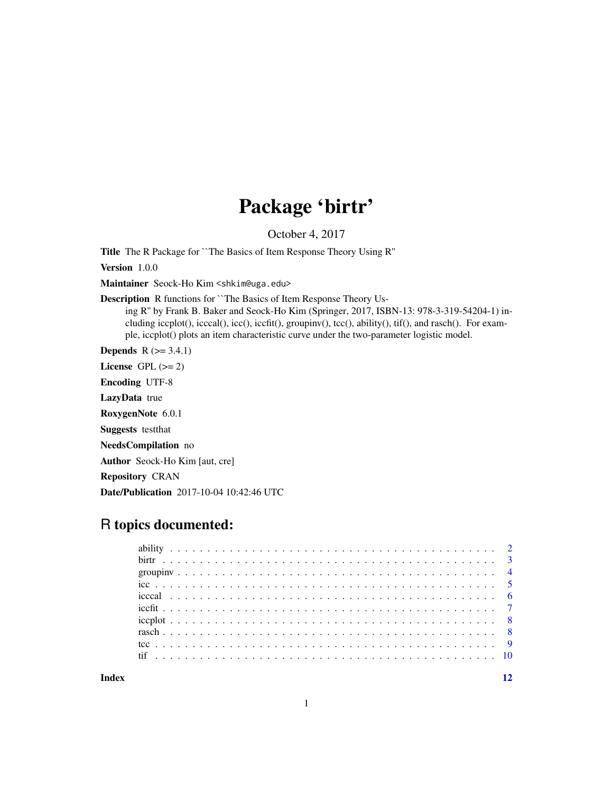## Package 'birtr'

October 4, 2017

Title The R Package for ``The Basics of Item Response Theory Using R''

Version 1.0.0

Maintainer Seock-Ho Kim <shkim@uga.edu>

Description R functions for ``The Basics of Item Response Theory Us-

ing R'' by Frank B. Baker and Seock-Ho Kim (Springer, 2017, ISBN-13: 978-3-319-54204-1) including iccplot(), icccal(), icc(), iccfit(), groupinv(), tcc(), ability(), tif(), and rasch(). For example, iccplot() plots an item characteristic curve under the two-parameter logistic model.

**Depends**  $R$  ( $>= 3.4.1$ )

License GPL  $(>= 2)$ 

Encoding UTF-8

LazyData true

RoxygenNote 6.0.1

Suggests testthat

NeedsCompilation no

Author Seock-Ho Kim [aut, cre]

Repository CRAN

Date/Publication 2017-10-04 10:42:46 UTC

## R topics documented:

**Index** [12](#page-11-0)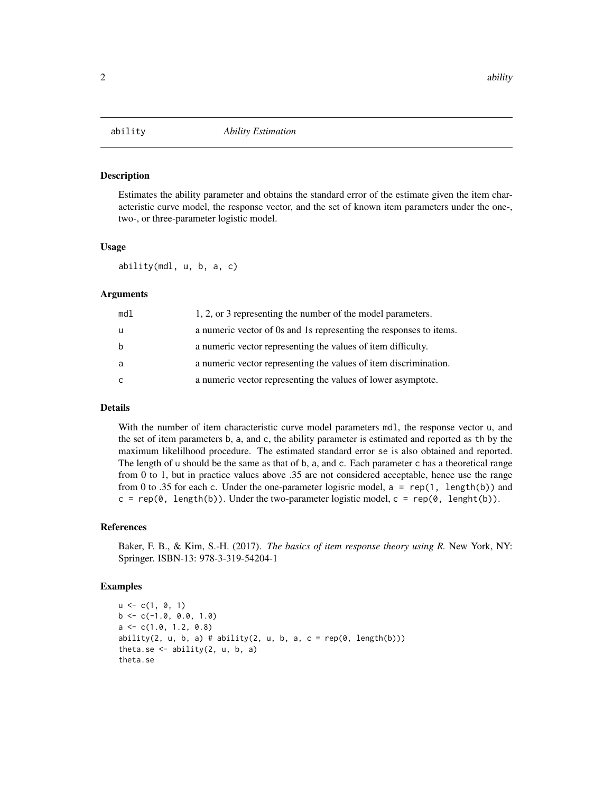<span id="page-1-0"></span>

Estimates the ability parameter and obtains the standard error of the estimate given the item characteristic curve model, the response vector, and the set of known item parameters under the one-, two-, or three-parameter logistic model.

#### Usage

ability(mdl, u, b, a, c)

#### Arguments

| md1 | 1, 2, or 3 representing the number of the model parameters.        |
|-----|--------------------------------------------------------------------|
| u   | a numeric vector of 0s and 1s representing the responses to items. |
| b   | a numeric vector representing the values of item difficulty.       |
| a   | a numeric vector representing the values of item discrimination.   |
| C   | a numeric vector representing the values of lower asymptote.       |

#### Details

With the number of item characteristic curve model parameters mdl, the response vector u, and the set of item parameters b, a, and c, the ability parameter is estimated and reported as th by the maximum likelilhood procedure. The estimated standard error se is also obtained and reported. The length of u should be the same as that of b, a, and c. Each parameter c has a theoretical range from 0 to 1, but in practice values above .35 are not considered acceptable, hence use the range from 0 to .35 for each c. Under the one-parameter logisric model,  $a = rep(1, length(b))$  and  $c = \text{rep}(0, \text{length}(b))$ . Under the two-parameter logistic model,  $c = \text{rep}(0, \text{length}(b))$ .

#### References

Baker, F. B., & Kim, S.-H. (2017). *The basics of item response theory using R.* New York, NY: Springer. ISBN-13: 978-3-319-54204-1

#### Examples

```
u \leq c(1, 0, 1)b \leq -c(-1.0, 0.0, 1.0)a \leftarrow c(1.0, 1.2, 0.8)ability(2, u, b, a) # ability(2, u, b, a, c = rep(\emptyset, length(b)))theta.se \leq ability(2, u, b, a)
theta.se
```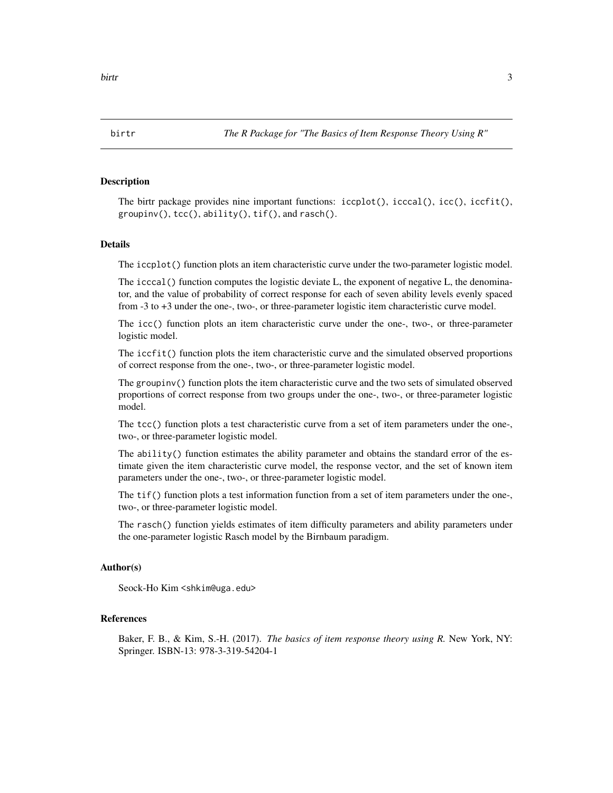<span id="page-2-0"></span>

The birtr package provides nine important functions:  $icplot(),$   $icccal(),$   $icc(),$   $iccfit(),$ groupinv(), tcc(), ability(), tif(), and rasch().

#### Details

The iccplot() function plots an item characteristic curve under the two-parameter logistic model.

The icccal() function computes the logistic deviate L, the exponent of negative L, the denominator, and the value of probability of correct response for each of seven ability levels evenly spaced from -3 to +3 under the one-, two-, or three-parameter logistic item characteristic curve model.

The icc() function plots an item characteristic curve under the one-, two-, or three-parameter logistic model.

The iccfit() function plots the item characteristic curve and the simulated observed proportions of correct response from the one-, two-, or three-parameter logistic model.

The groupinv() function plots the item characteristic curve and the two sets of simulated observed proportions of correct response from two groups under the one-, two-, or three-parameter logistic model.

The tcc() function plots a test characteristic curve from a set of item parameters under the one-, two-, or three-parameter logistic model.

The ability() function estimates the ability parameter and obtains the standard error of the estimate given the item characteristic curve model, the response vector, and the set of known item parameters under the one-, two-, or three-parameter logistic model.

The tif() function plots a test information function from a set of item parameters under the one-, two-, or three-parameter logistic model.

The rasch() function yields estimates of item difficulty parameters and ability parameters under the one-parameter logistic Rasch model by the Birnbaum paradigm.

#### Author(s)

Seock-Ho Kim <shkim@uga.edu>

#### References

Baker, F. B., & Kim, S.-H. (2017). *The basics of item response theory using R.* New York, NY: Springer. ISBN-13: 978-3-319-54204-1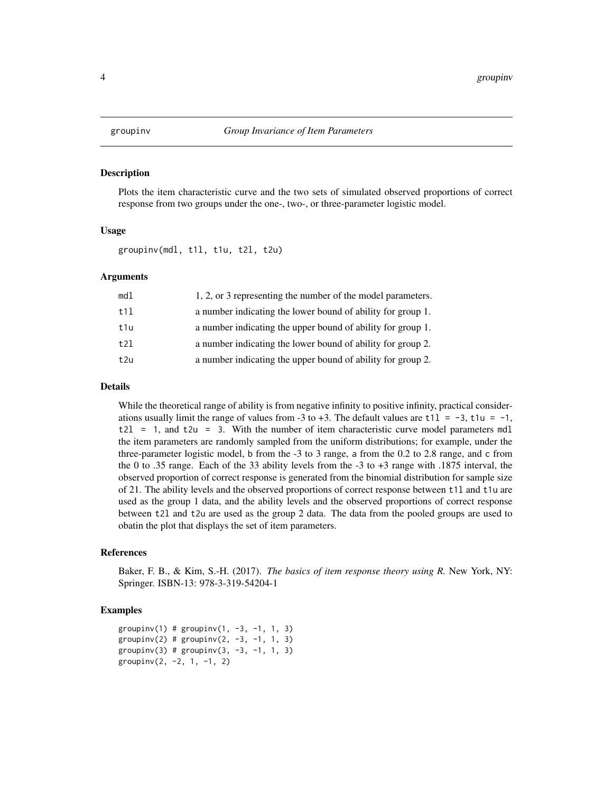<span id="page-3-0"></span>Plots the item characteristic curve and the two sets of simulated observed proportions of correct response from two groups under the one-, two-, or three-parameter logistic model.

#### Usage

groupinv(mdl, t1l, t1u, t2l, t2u)

#### Arguments

| md1 | 1, 2, or 3 representing the number of the model parameters. |
|-----|-------------------------------------------------------------|
| t11 | a number indicating the lower bound of ability for group 1. |
| t1u | a number indicating the upper bound of ability for group 1. |
| t21 | a number indicating the lower bound of ability for group 2. |
| t2u | a number indicating the upper bound of ability for group 2. |
|     |                                                             |

#### Details

While the theoretical range of ability is from negative infinity to positive infinity, practical considerations usually limit the range of values from -3 to +3. The default values are  $t11 = -3$ ,  $t1u = -1$ ,  $t2l = 1$ , and  $t2u = 3$ . With the number of item characteristic curve model parameters mdl the item parameters are randomly sampled from the uniform distributions; for example, under the three-parameter logistic model, b from the -3 to 3 range, a from the 0.2 to 2.8 range, and c from the 0 to .35 range. Each of the 33 ability levels from the -3 to +3 range with .1875 interval, the observed proportion of correct response is generated from the binomial distribution for sample size of 21. The ability levels and the observed proportions of correct response between t1l and t1u are used as the group 1 data, and the ability levels and the observed proportions of correct response between t2l and t2u are used as the group 2 data. The data from the pooled groups are used to obatin the plot that displays the set of item parameters.

#### References

Baker, F. B., & Kim, S.-H. (2017). *The basics of item response theory using R.* New York, NY: Springer. ISBN-13: 978-3-319-54204-1

#### Examples

```
groupinv(1) # groupinv(1, -3, -1, 1, 3)groupinv(2) # groupinv(2, -3, -1, 1, 3)groupinv(3) # groupinv(3, -3, -1, 1, 3)groupinv(2, -2, 1, -1, 2)
```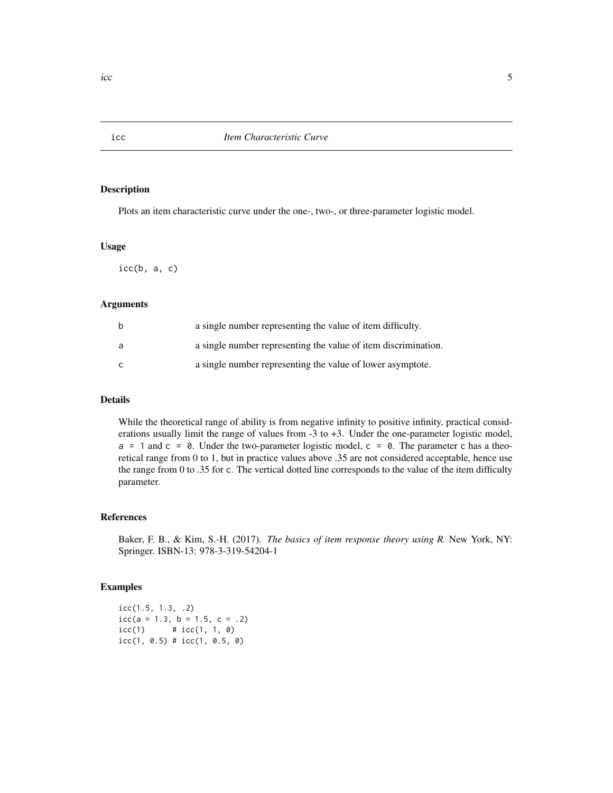Plots an item characteristic curve under the one-, two-, or three-parameter logistic model.

#### Usage

 $icc(b, a, c)$ 

#### Arguments

| b | a single number representing the value of item difficulty.     |
|---|----------------------------------------------------------------|
| a | a single number representing the value of item discrimination. |
| C | a single number representing the value of lower asymptote.     |

### Details

While the theoretical range of ability is from negative infinity to positive infinity, practical considerations usually limit the range of values from -3 to +3. Under the one-parameter logistic model,  $a = 1$  and  $c = 0$ . Under the two-parameter logistic model,  $c = 0$ . The parameter c has a theoretical range from 0 to 1, but in practice values above .35 are not considered acceptable, hence use the range from 0 to .35 for c. The vertical dotted line corresponds to the value of the item difficulty parameter.

#### References

Baker, F. B., & Kim, S.-H. (2017). *The basics of item response theory using R.* New York, NY: Springer. ISBN-13: 978-3-319-54204-1

#### Examples

icc(1.5, 1.3, .2)  $icc(a = 1.3, b = 1.5, c = .2)$  $icc(1)$  #  $icc(1, 1, 0)$  $icc(1, 0.5)$  #  $icc(1, 0.5, 0)$ 

<span id="page-4-0"></span>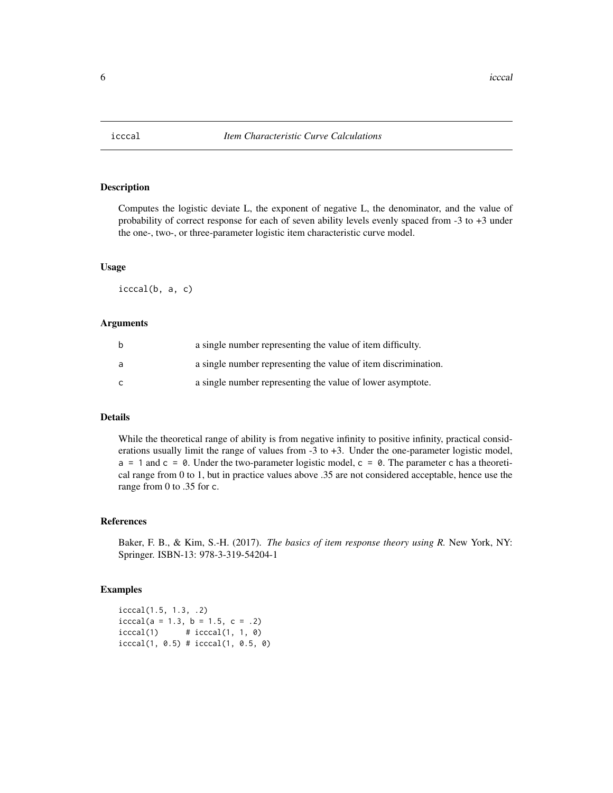<span id="page-5-0"></span>

Computes the logistic deviate L, the exponent of negative L, the denominator, and the value of probability of correct response for each of seven ability levels evenly spaced from -3 to +3 under the one-, two-, or three-parameter logistic item characteristic curve model.

#### Usage

icccal(b, a, c)

#### Arguments

| b | a single number representing the value of item difficulty.     |
|---|----------------------------------------------------------------|
| a | a single number representing the value of item discrimination. |
| C | a single number representing the value of lower asymptote.     |

#### Details

While the theoretical range of ability is from negative infinity to positive infinity, practical considerations usually limit the range of values from -3 to +3. Under the one-parameter logistic model,  $a = 1$  and  $c = 0$ . Under the two-parameter logistic model,  $c = 0$ . The parameter c has a theoretical range from 0 to 1, but in practice values above .35 are not considered acceptable, hence use the range from 0 to .35 for c.

#### References

Baker, F. B., & Kim, S.-H. (2017). *The basics of item response theory using R.* New York, NY: Springer. ISBN-13: 978-3-319-54204-1

#### Examples

icccal(1.5, 1.3, .2)  $icccal(a = 1.3, b = 1.5, c = .2)$  $icccal(1)$  #  $icccal(1, 1, 0)$ icccal(1, 0.5) # icccal(1, 0.5, 0)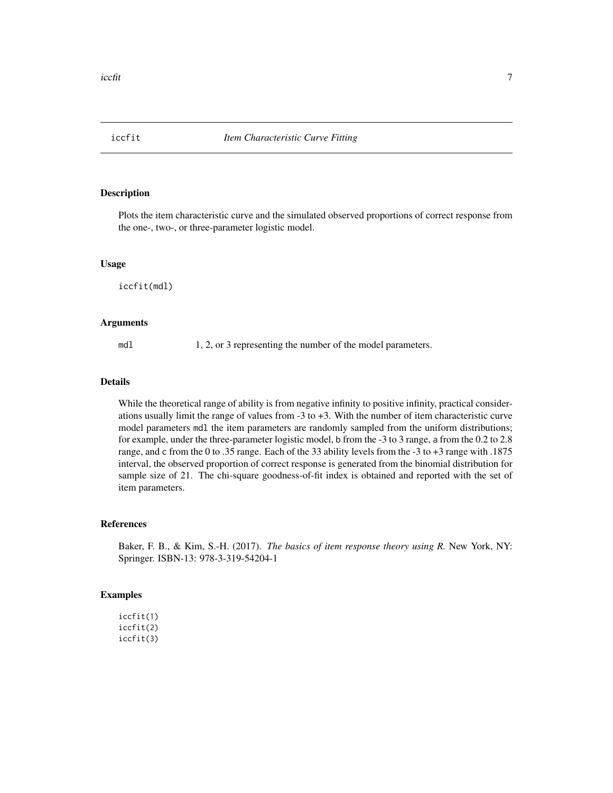<span id="page-6-0"></span>

Plots the item characteristic curve and the simulated observed proportions of correct response from the one-, two-, or three-parameter logistic model.

#### Usage

iccfit(mdl)

#### Arguments

mdl 1, 2, or 3 representing the number of the model parameters.

#### Details

While the theoretical range of ability is from negative infinity to positive infinity, practical considerations usually limit the range of values from -3 to +3. With the number of item characteristic curve model parameters mdl the item parameters are randomly sampled from the uniform distributions; for example, under the three-parameter logistic model, b from the -3 to 3 range, a from the 0.2 to 2.8 range, and c from the 0 to .35 range. Each of the 33 ability levels from the -3 to +3 range with .1875 interval, the observed proportion of correct response is generated from the binomial distribution for sample size of 21. The chi-square goodness-of-fit index is obtained and reported with the set of item parameters.

#### References

Baker, F. B., & Kim, S.-H. (2017). *The basics of item response theory using R.* New York, NY: Springer. ISBN-13: 978-3-319-54204-1

### Examples

iccfit(1) iccfit(2) iccfit(3)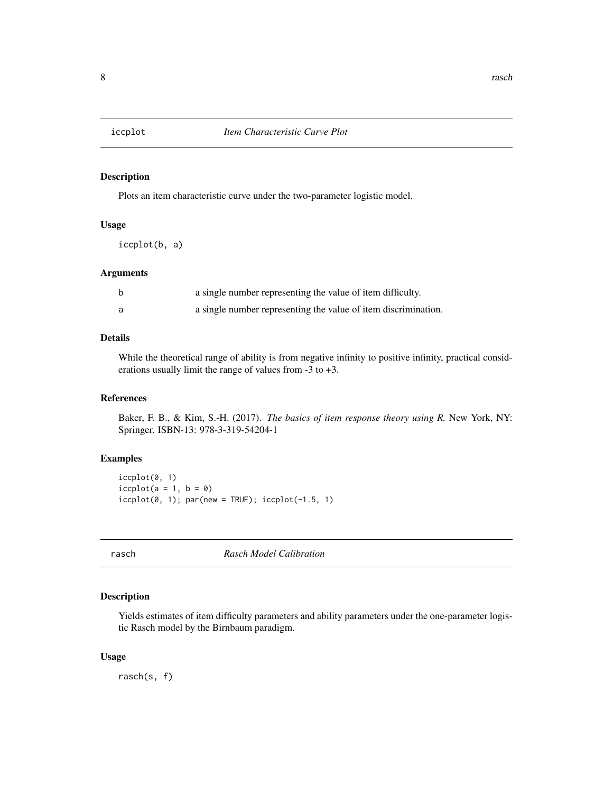<span id="page-7-0"></span>

Plots an item characteristic curve under the two-parameter logistic model.

#### Usage

iccplot(b, a)

#### Arguments

| a single number representing the value of item difficulty.     |
|----------------------------------------------------------------|
| a single number representing the value of item discrimination. |

#### Details

While the theoretical range of ability is from negative infinity to positive infinity, practical considerations usually limit the range of values from -3 to +3.

#### References

Baker, F. B., & Kim, S.-H. (2017). *The basics of item response theory using R.* New York, NY: Springer. ISBN-13: 978-3-319-54204-1

### Examples

```
iccplot(0, 1)
icplot(a = 1, b = 0)icplot(0, 1); par(new = TRUE); icplot(-1.5, 1)
```
rasch *Rasch Model Calibration*

#### Description

Yields estimates of item difficulty parameters and ability parameters under the one-parameter logistic Rasch model by the Birnbaum paradigm.

#### Usage

rasch(s, f)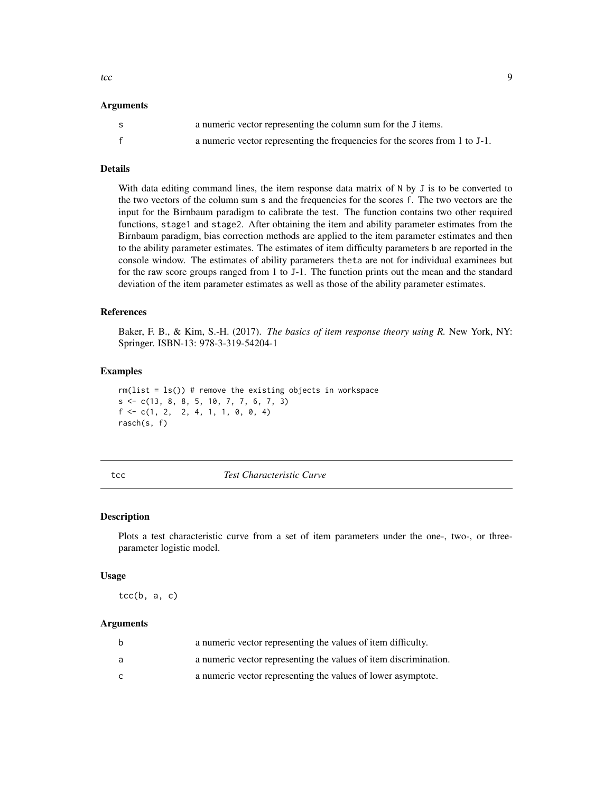<span id="page-8-0"></span>to the contract of the state of the state of the state of the state of the state of the state of the state of the state of the state of the state of the state of the state of the state of the state of the state of the stat

#### **Arguments**

| -S | a numeric vector representing the column sum for the J items.               |
|----|-----------------------------------------------------------------------------|
|    | a numeric vector representing the frequencies for the scores from 1 to J-1. |

#### Details

With data editing command lines, the item response data matrix of N by J is to be converted to the two vectors of the column sum s and the frequencies for the scores f. The two vectors are the input for the Birnbaum paradigm to calibrate the test. The function contains two other required functions, stage1 and stage2. After obtaining the item and ability parameter estimates from the Birnbaum paradigm, bias correction methods are applied to the item parameter estimates and then to the ability parameter estimates. The estimates of item difficulty parameters b are reported in the console window. The estimates of ability parameters theta are not for individual examinees but for the raw score groups ranged from 1 to J-1. The function prints out the mean and the standard deviation of the item parameter estimates as well as those of the ability parameter estimates.

#### References

Baker, F. B., & Kim, S.-H. (2017). *The basics of item response theory using R.* New York, NY: Springer. ISBN-13: 978-3-319-54204-1

#### Examples

 $rm(list = ls())$  # remove the existing objects in workspace  $s \leq c(13, 8, 8, 5, 10, 7, 7, 6, 7, 3)$  $f \leftarrow c(1, 2, 2, 4, 1, 1, 0, 0, 4)$ rasch(s, f)

#### tcc *Test Characteristic Curve*

#### Description

Plots a test characteristic curve from a set of item parameters under the one-, two-, or threeparameter logistic model.

#### Usage

 $tcc(b, a, c)$ 

#### Arguments

| b | a numeric vector representing the values of item difficulty.     |
|---|------------------------------------------------------------------|
| a | a numeric vector representing the values of item discrimination. |
| C | a numeric vector representing the values of lower asymptote.     |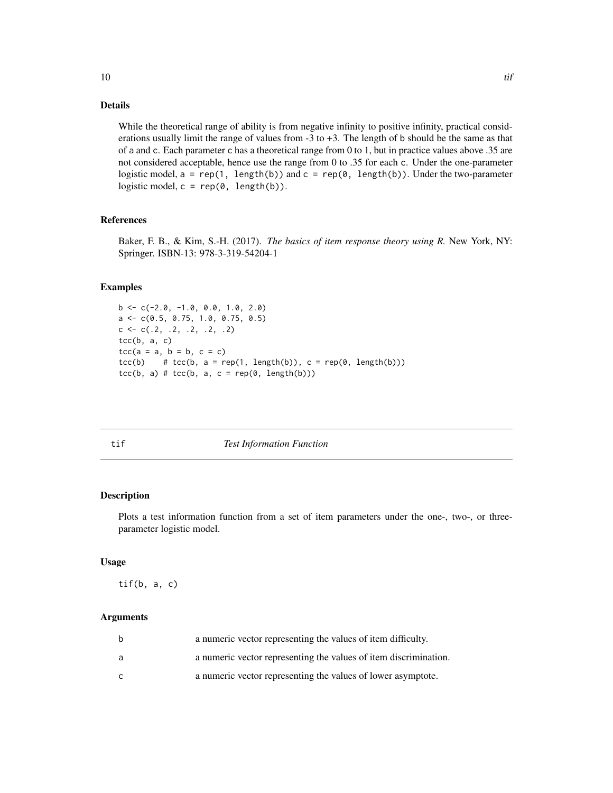### <span id="page-9-0"></span>Details

While the theoretical range of ability is from negative infinity to positive infinity, practical considerations usually limit the range of values from -3 to +3. The length of b should be the same as that of a and c. Each parameter c has a theoretical range from 0 to 1, but in practice values above .35 are not considered acceptable, hence use the range from 0 to .35 for each c. Under the one-parameter logistic model,  $a = rep(1, length(b))$  and  $c = rep(0, length(b))$ . Under the two-parameter logistic model,  $c = rep(0, length(b)).$ 

#### References

Baker, F. B., & Kim, S.-H. (2017). *The basics of item response theory using R.* New York, NY: Springer. ISBN-13: 978-3-319-54204-1

#### Examples

```
b \leq -c(-2.0, -1.0, 0.0, 1.0, 2.0)a <- c(0.5, 0.75, 1.0, 0.75, 0.5)
c \leftarrow c(.2, .2, .2, .2, .2)tcc(b, a, c)tcc(a = a, b = b, c = c)tcc(b) # tcc(b, a = rep(1, length(b)), c = rep(0, length(b)))tcc(b, a) # tcc(b, a, c = rep(0, length(b)))
```

**Test Information Function** 

#### Description

Plots a test information function from a set of item parameters under the one-, two-, or threeparameter logistic model.

#### Usage

tif(b, a, c)

#### Arguments

| b | a numeric vector representing the values of item difficulty.     |
|---|------------------------------------------------------------------|
| a | a numeric vector representing the values of item discrimination. |
| C | a numeric vector representing the values of lower asymptote.     |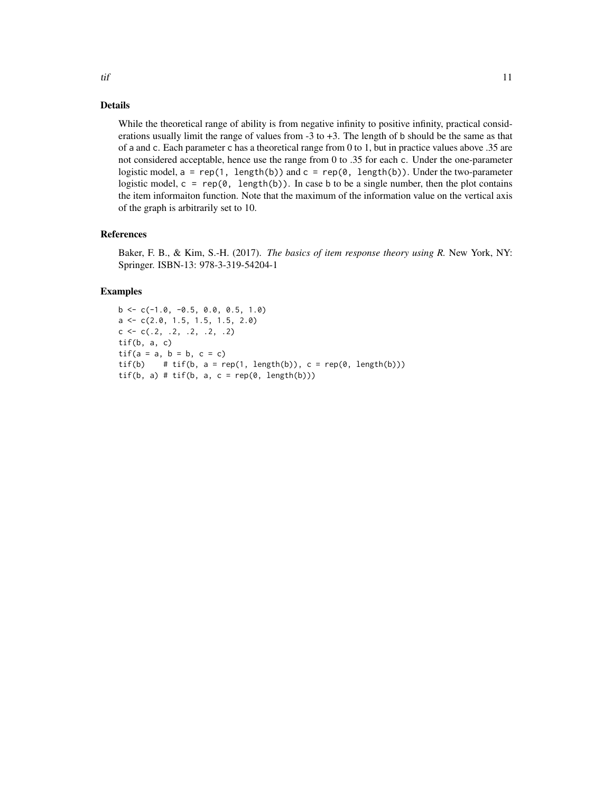#### Details

While the theoretical range of ability is from negative infinity to positive infinity, practical considerations usually limit the range of values from -3 to +3. The length of b should be the same as that of a and c. Each parameter c has a theoretical range from 0 to 1, but in practice values above .35 are not considered acceptable, hence use the range from 0 to .35 for each c. Under the one-parameter logistic model,  $a = rep(1, length(b))$  and  $c = rep(0, length(b))$ . Under the two-parameter logistic model,  $c = \text{rep}(0, \text{length}(b))$ . In case b to be a single number, then the plot contains the item informaiton function. Note that the maximum of the information value on the vertical axis of the graph is arbitrarily set to 10.

#### References

Baker, F. B., & Kim, S.-H. (2017). *The basics of item response theory using R.* New York, NY: Springer. ISBN-13: 978-3-319-54204-1

#### Examples

```
b \leq -c(-1.0, -0.5, 0.0, 0.5, 1.0)a <- c(2.0, 1.5, 1.5, 1.5, 2.0)
c \leq -c(.2, .2, .2, .2, .2)tif(b, a, c)
\text{tf}(a = a, b = b, c = c)\text{tf(b)} # \text{tf(b)}, a = rep(1, length(b)), c = rep(0, length(b)))
\text{tf}(b, a) \# \text{tf}(b, a, c = \text{rep}(0, \text{length}(b)))
```